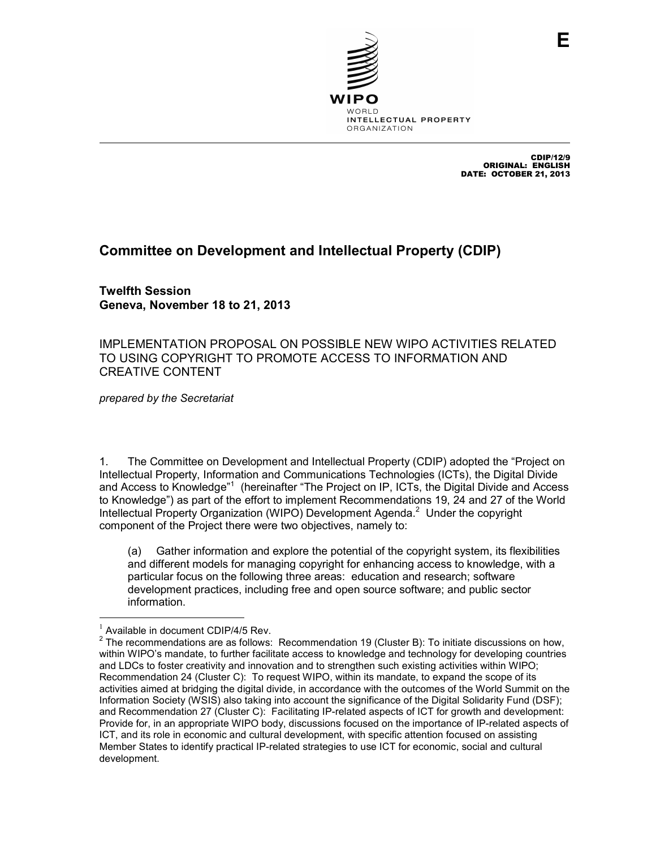

CDIP/12/9 ORIGINAL: ENGLISH DATE: OCTOBER 21, 2013

## **Committee on Development and Intellectual Property (CDIP)**

**Twelfth Session Geneva, November 18 to 21, 2013** 

IMPLEMENTATION PROPOSAL ON POSSIBLE NEW WIPO ACTIVITIES RELATED TO USING COPYRIGHT TO PROMOTE ACCESS TO INFORMATION AND CREATIVE CONTENT

*prepared by the Secretariat* 

1. The Committee on Development and Intellectual Property (CDIP) adopted the "Project on Intellectual Property, Information and Communications Technologies (ICTs), the Digital Divide and Access to Knowledge"<sup>1</sup> (hereinafter "The Project on IP, ICTs, the Digital Divide and Access to Knowledge") as part of the effort to implement Recommendations 19, 24 and 27 of the World Intellectual Property Organization (WIPO) Development Agenda. $2$  Under the copyright component of the Project there were two objectives, namely to:

(a) Gather information and explore the potential of the copyright system, its flexibilities and different models for managing copyright for enhancing access to knowledge, with a particular focus on the following three areas: education and research; software development practices, including free and open source software; and public sector information.

l

 $1$  Available in document CDIP/4/5 Rev.

 $2$  The recommendations are as follows: Recommendation 19 (Cluster B): To initiate discussions on how, within WIPO's mandate, to further facilitate access to knowledge and technology for developing countries and LDCs to foster creativity and innovation and to strengthen such existing activities within WIPO; Recommendation 24 (Cluster C): To request WIPO, within its mandate, to expand the scope of its activities aimed at bridging the digital divide, in accordance with the outcomes of the World Summit on the Information Society (WSIS) also taking into account the significance of the Digital Solidarity Fund (DSF); and Recommendation 27 (Cluster C): Facilitating IP-related aspects of ICT for growth and development: Provide for, in an appropriate WIPO body, discussions focused on the importance of IP-related aspects of ICT, and its role in economic and cultural development, with specific attention focused on assisting Member States to identify practical IP-related strategies to use ICT for economic, social and cultural development.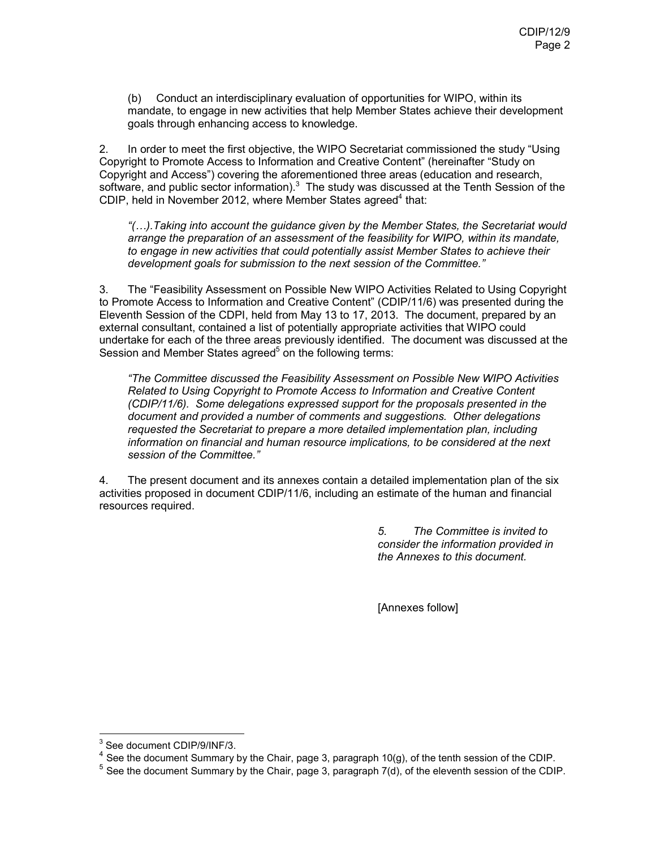(b) Conduct an interdisciplinary evaluation of opportunities for WIPO, within its mandate, to engage in new activities that help Member States achieve their development goals through enhancing access to knowledge.

2. In order to meet the first objective, the WIPO Secretariat commissioned the study "Using Copyright to Promote Access to Information and Creative Content" (hereinafter "Study on Copyright and Access") covering the aforementioned three areas (education and research, software, and public sector information). $3$  The study was discussed at the Tenth Session of the CDIP, held in November 2012, where Member States agreed<sup>4</sup> that:

*"().Taking into account the guidance given by the Member States, the Secretariat would arrange the preparation of an assessment of the feasibility for WIPO, within its mandate, to engage in new activities that could potentially assist Member States to achieve their development goals for submission to the next session of the Committee."*

3. The "Feasibility Assessment on Possible New WIPO Activities Related to Using Copyright to Promote Access to Information and Creative Content" (CDIP/11/6) was presented during the Eleventh Session of the CDPI, held from May 13 to 17, 2013. The document, prepared by an external consultant, contained a list of potentially appropriate activities that WIPO could undertake for each of the three areas previously identified. The document was discussed at the Session and Member States agreed<sup>5</sup> on the following terms:

*"The Committee discussed the Feasibility Assessment on Possible New WIPO Activities Related to Using Copyright to Promote Access to Information and Creative Content (CDIP/11/6). Some delegations expressed support for the proposals presented in the document and provided a number of comments and suggestions. Other delegations requested the Secretariat to prepare a more detailed implementation plan, including information on financial and human resource implications, to be considered at the next session of the Committee."* 

4. The present document and its annexes contain a detailed implementation plan of the six activities proposed in document CDIP/11/6, including an estimate of the human and financial resources required.

> *5. The Committee is invited to consider the information provided in the Annexes to this document.*

[Annexes follow]

l

<sup>&</sup>lt;sup>3</sup> See document CDIP/9/INF/3.

 $4$  See the document Summary by the Chair, page 3, paragraph 10(g), of the tenth session of the CDIP.

 $<sup>5</sup>$  See the document Summary by the Chair, page 3, paragraph 7(d), of the eleventh session of the CDIP.</sup>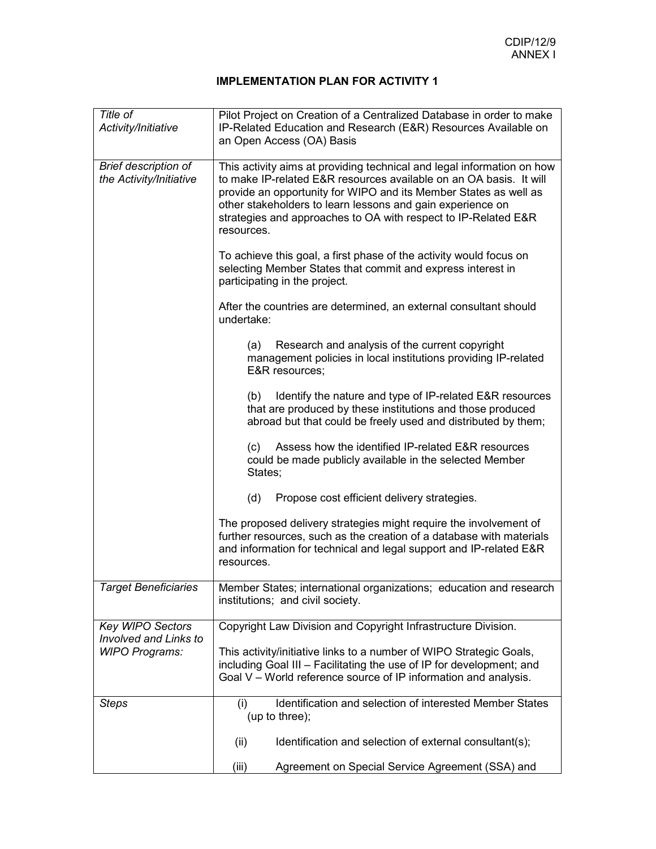| Title of<br>Activity/Initiative                        | Pilot Project on Creation of a Centralized Database in order to make<br>IP-Related Education and Research (E&R) Resources Available on<br>an Open Access (OA) Basis                                                                                                                                                                                            |  |  |
|--------------------------------------------------------|----------------------------------------------------------------------------------------------------------------------------------------------------------------------------------------------------------------------------------------------------------------------------------------------------------------------------------------------------------------|--|--|
| <b>Brief description of</b><br>the Activity/Initiative | This activity aims at providing technical and legal information on how<br>to make IP-related E&R resources available on an OA basis. It will<br>provide an opportunity for WIPO and its Member States as well as<br>other stakeholders to learn lessons and gain experience on<br>strategies and approaches to OA with respect to IP-Related E&R<br>resources. |  |  |
|                                                        | To achieve this goal, a first phase of the activity would focus on<br>selecting Member States that commit and express interest in<br>participating in the project.                                                                                                                                                                                             |  |  |
|                                                        | After the countries are determined, an external consultant should<br>undertake:                                                                                                                                                                                                                                                                                |  |  |
|                                                        | Research and analysis of the current copyright<br>(a)<br>management policies in local institutions providing IP-related<br>E&R resources;                                                                                                                                                                                                                      |  |  |
|                                                        | Identify the nature and type of IP-related E&R resources<br>(b)<br>that are produced by these institutions and those produced<br>abroad but that could be freely used and distributed by them;                                                                                                                                                                 |  |  |
|                                                        | Assess how the identified IP-related E&R resources<br>(C)<br>could be made publicly available in the selected Member<br>States;                                                                                                                                                                                                                                |  |  |
|                                                        | Propose cost efficient delivery strategies.<br>(d)                                                                                                                                                                                                                                                                                                             |  |  |
|                                                        | The proposed delivery strategies might require the involvement of<br>further resources, such as the creation of a database with materials<br>and information for technical and legal support and IP-related E&R<br>resources.                                                                                                                                  |  |  |
| <b>Target Beneficiaries</b>                            | Member States; international organizations; education and research<br>institutions; and civil society.                                                                                                                                                                                                                                                         |  |  |
| <b>Key WIPO Sectors</b><br>Involved and Links to       | Copyright Law Division and Copyright Infrastructure Division.                                                                                                                                                                                                                                                                                                  |  |  |
| <b>WIPO Programs:</b>                                  | This activity/initiative links to a number of WIPO Strategic Goals,<br>including Goal III - Facilitating the use of IP for development; and<br>Goal V - World reference source of IP information and analysis.                                                                                                                                                 |  |  |
| <b>Steps</b>                                           | Identification and selection of interested Member States<br>(i)<br>(up to three);                                                                                                                                                                                                                                                                              |  |  |
|                                                        | (ii)<br>Identification and selection of external consultant(s);                                                                                                                                                                                                                                                                                                |  |  |
|                                                        | (iii)<br>Agreement on Special Service Agreement (SSA) and                                                                                                                                                                                                                                                                                                      |  |  |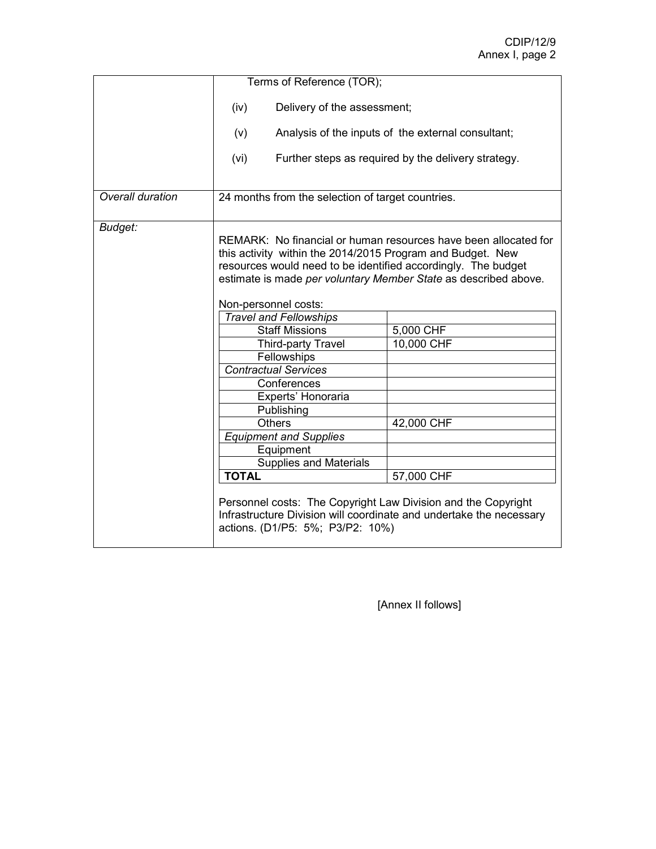|                  | Terms of Reference (TOR);                                                                                                                                                                                                                                                                 |                                                                                                                                      |  |
|------------------|-------------------------------------------------------------------------------------------------------------------------------------------------------------------------------------------------------------------------------------------------------------------------------------------|--------------------------------------------------------------------------------------------------------------------------------------|--|
|                  | Delivery of the assessment;<br>(iv)                                                                                                                                                                                                                                                       |                                                                                                                                      |  |
|                  | (v)                                                                                                                                                                                                                                                                                       | Analysis of the inputs of the external consultant;                                                                                   |  |
|                  | (vi)                                                                                                                                                                                                                                                                                      | Further steps as required by the delivery strategy.                                                                                  |  |
| Overall duration | 24 months from the selection of target countries.                                                                                                                                                                                                                                         |                                                                                                                                      |  |
| Budget:          | REMARK: No financial or human resources have been allocated for<br>this activity within the 2014/2015 Program and Budget. New<br>resources would need to be identified accordingly. The budget<br>estimate is made per voluntary Member State as described above.<br>Non-personnel costs: |                                                                                                                                      |  |
|                  | <b>Travel and Fellowships</b>                                                                                                                                                                                                                                                             |                                                                                                                                      |  |
|                  | <b>Staff Missions</b>                                                                                                                                                                                                                                                                     | 5,000 CHF                                                                                                                            |  |
|                  | Third-party Travel                                                                                                                                                                                                                                                                        | 10,000 CHF                                                                                                                           |  |
|                  | Fellowships                                                                                                                                                                                                                                                                               |                                                                                                                                      |  |
|                  | <b>Contractual Services</b>                                                                                                                                                                                                                                                               |                                                                                                                                      |  |
|                  | Conferences                                                                                                                                                                                                                                                                               |                                                                                                                                      |  |
|                  | Experts' Honoraria                                                                                                                                                                                                                                                                        |                                                                                                                                      |  |
|                  | Publishing                                                                                                                                                                                                                                                                                |                                                                                                                                      |  |
|                  | <b>Others</b>                                                                                                                                                                                                                                                                             | 42,000 CHF                                                                                                                           |  |
|                  | <b>Equipment and Supplies</b>                                                                                                                                                                                                                                                             |                                                                                                                                      |  |
|                  | Equipment                                                                                                                                                                                                                                                                                 |                                                                                                                                      |  |
|                  | <b>Supplies and Materials</b>                                                                                                                                                                                                                                                             |                                                                                                                                      |  |
|                  | <b>TOTAL</b>                                                                                                                                                                                                                                                                              | 57,000 CHF                                                                                                                           |  |
|                  | actions. (D1/P5: 5%; P3/P2: 10%)                                                                                                                                                                                                                                                          | Personnel costs: The Copyright Law Division and the Copyright<br>Infrastructure Division will coordinate and undertake the necessary |  |

[Annex II follows]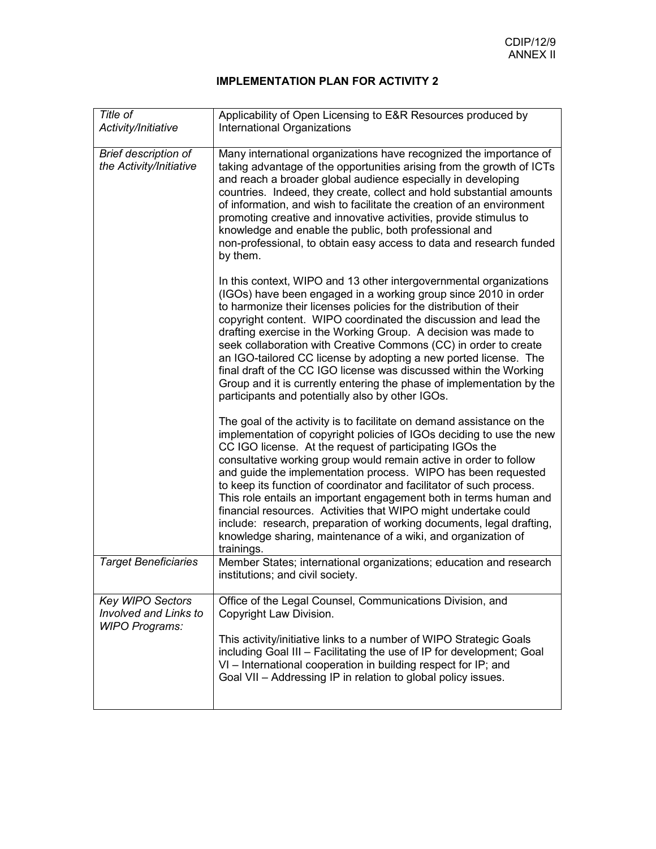| Title of<br>Activity/Initiative                                           | Applicability of Open Licensing to E&R Resources produced by<br>International Organizations                                                                                                                                                                                                                                                                                                                                                                                                                                                                                                                                                                                                                            |  |
|---------------------------------------------------------------------------|------------------------------------------------------------------------------------------------------------------------------------------------------------------------------------------------------------------------------------------------------------------------------------------------------------------------------------------------------------------------------------------------------------------------------------------------------------------------------------------------------------------------------------------------------------------------------------------------------------------------------------------------------------------------------------------------------------------------|--|
| <b>Brief description of</b><br>the Activity/Initiative                    | Many international organizations have recognized the importance of<br>taking advantage of the opportunities arising from the growth of ICTs<br>and reach a broader global audience especially in developing<br>countries. Indeed, they create, collect and hold substantial amounts<br>of information, and wish to facilitate the creation of an environment<br>promoting creative and innovative activities, provide stimulus to<br>knowledge and enable the public, both professional and<br>non-professional, to obtain easy access to data and research funded<br>by them.                                                                                                                                         |  |
|                                                                           | In this context, WIPO and 13 other intergovernmental organizations<br>(IGOs) have been engaged in a working group since 2010 in order<br>to harmonize their licenses policies for the distribution of their<br>copyright content. WIPO coordinated the discussion and lead the<br>drafting exercise in the Working Group. A decision was made to<br>seek collaboration with Creative Commons (CC) in order to create<br>an IGO-tailored CC license by adopting a new ported license. The<br>final draft of the CC IGO license was discussed within the Working<br>Group and it is currently entering the phase of implementation by the<br>participants and potentially also by other IGOs.                            |  |
|                                                                           | The goal of the activity is to facilitate on demand assistance on the<br>implementation of copyright policies of IGOs deciding to use the new<br>CC IGO license. At the request of participating IGOs the<br>consultative working group would remain active in order to follow<br>and guide the implementation process. WIPO has been requested<br>to keep its function of coordinator and facilitator of such process.<br>This role entails an important engagement both in terms human and<br>financial resources. Activities that WIPO might undertake could<br>include: research, preparation of working documents, legal drafting,<br>knowledge sharing, maintenance of a wiki, and organization of<br>trainings. |  |
| <b>Target Beneficiaries</b>                                               | Member States; international organizations; education and research<br>institutions; and civil society.                                                                                                                                                                                                                                                                                                                                                                                                                                                                                                                                                                                                                 |  |
| Key WIPO Sectors<br><b>Involved and Links to</b><br><b>WIPO Programs:</b> | Office of the Legal Counsel, Communications Division, and<br>Copyright Law Division.<br>This activity/initiative links to a number of WIPO Strategic Goals<br>including Goal III - Facilitating the use of IP for development; Goal<br>VI - International cooperation in building respect for IP; and<br>Goal VII - Addressing IP in relation to global policy issues.                                                                                                                                                                                                                                                                                                                                                 |  |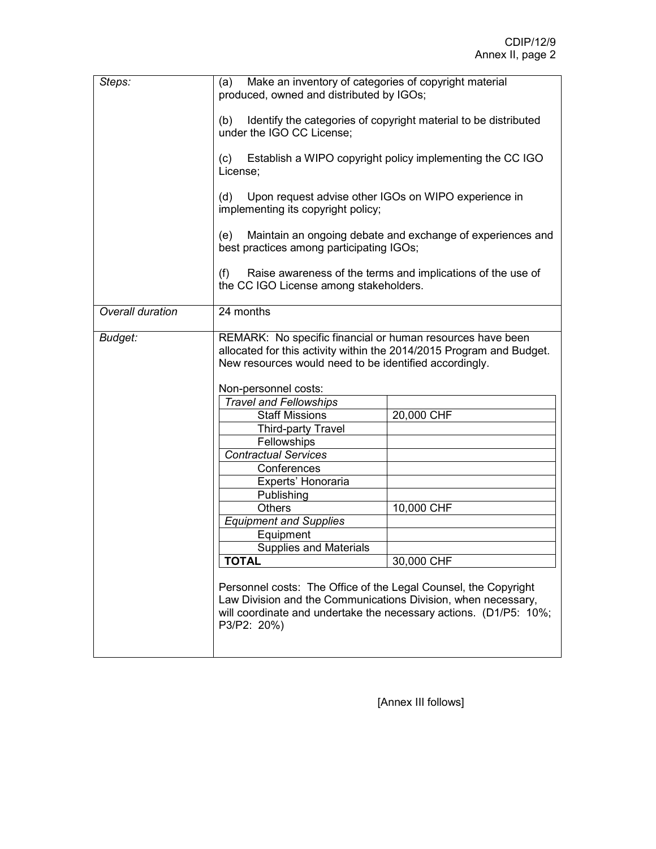| Steps:           | Make an inventory of categories of copyright material<br>(a)<br>produced, owned and distributed by IGOs;                                                                                                                                                                                                                                                                                                                                                                                                                                                               |                                                                                                       |  |
|------------------|------------------------------------------------------------------------------------------------------------------------------------------------------------------------------------------------------------------------------------------------------------------------------------------------------------------------------------------------------------------------------------------------------------------------------------------------------------------------------------------------------------------------------------------------------------------------|-------------------------------------------------------------------------------------------------------|--|
|                  | Identify the categories of copyright material to be distributed<br>(b)<br>under the IGO CC License;                                                                                                                                                                                                                                                                                                                                                                                                                                                                    |                                                                                                       |  |
|                  | Establish a WIPO copyright policy implementing the CC IGO<br>(c)<br>License;                                                                                                                                                                                                                                                                                                                                                                                                                                                                                           |                                                                                                       |  |
|                  | Upon request advise other IGOs on WIPO experience in<br>(d)<br>implementing its copyright policy;                                                                                                                                                                                                                                                                                                                                                                                                                                                                      |                                                                                                       |  |
|                  | (e)<br>best practices among participating IGOs;                                                                                                                                                                                                                                                                                                                                                                                                                                                                                                                        | Maintain an ongoing debate and exchange of experiences and                                            |  |
|                  | (f)                                                                                                                                                                                                                                                                                                                                                                                                                                                                                                                                                                    | Raise awareness of the terms and implications of the use of<br>the CC IGO License among stakeholders. |  |
| Overall duration | 24 months                                                                                                                                                                                                                                                                                                                                                                                                                                                                                                                                                              |                                                                                                       |  |
| Budget:          | REMARK: No specific financial or human resources have been<br>allocated for this activity within the 2014/2015 Program and Budget.<br>New resources would need to be identified accordingly.<br>Non-personnel costs:<br><b>Travel and Fellowships</b><br>20,000 CHF<br><b>Staff Missions</b><br><b>Third-party Travel</b><br>Fellowships<br><b>Contractual Services</b><br>Conferences<br>Experts' Honoraria<br>Publishing<br><b>Others</b><br>10,000 CHF<br><b>Equipment and Supplies</b><br>Equipment<br><b>Supplies and Materials</b><br><b>TOTAL</b><br>30,000 CHF |                                                                                                       |  |
|                  | Personnel costs: The Office of the Legal Counsel, the Copyright<br>Law Division and the Communications Division, when necessary,<br>will coordinate and undertake the necessary actions. (D1/P5: 10%;<br>P3/P2: 20%)                                                                                                                                                                                                                                                                                                                                                   |                                                                                                       |  |

[Annex III follows]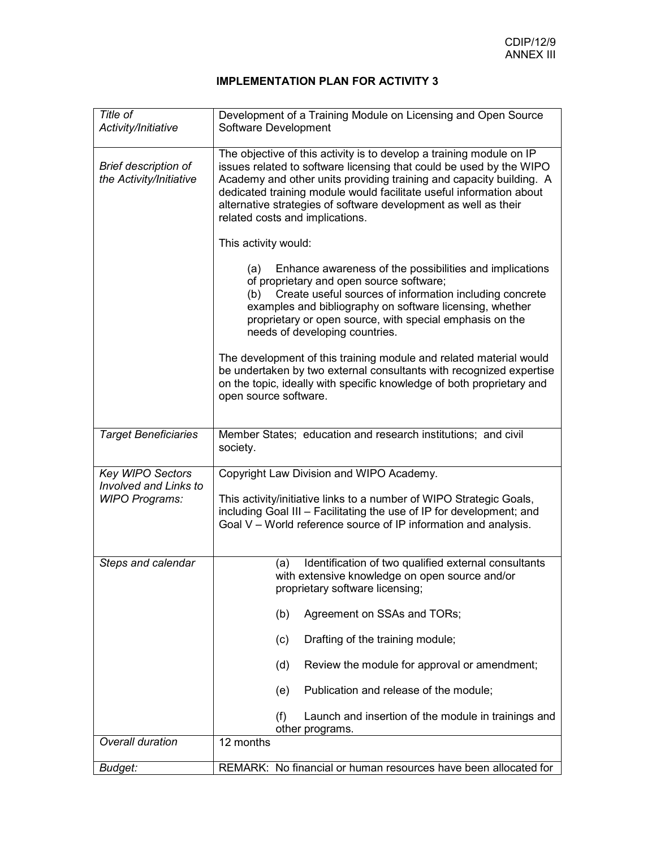| Title of<br>Activity/Initiative                        | Development of a Training Module on Licensing and Open Source<br>Software Development                                                                                                                                                                                                                                                                                                           |  |  |
|--------------------------------------------------------|-------------------------------------------------------------------------------------------------------------------------------------------------------------------------------------------------------------------------------------------------------------------------------------------------------------------------------------------------------------------------------------------------|--|--|
|                                                        |                                                                                                                                                                                                                                                                                                                                                                                                 |  |  |
| <b>Brief description of</b><br>the Activity/Initiative | The objective of this activity is to develop a training module on IP<br>issues related to software licensing that could be used by the WIPO<br>Academy and other units providing training and capacity building. A<br>dedicated training module would facilitate useful information about<br>alternative strategies of software development as well as their<br>related costs and implications. |  |  |
|                                                        | This activity would:                                                                                                                                                                                                                                                                                                                                                                            |  |  |
|                                                        | Enhance awareness of the possibilities and implications<br>(a)<br>of proprietary and open source software;<br>Create useful sources of information including concrete<br>(b)<br>examples and bibliography on software licensing, whether<br>proprietary or open source, with special emphasis on the<br>needs of developing countries.                                                          |  |  |
|                                                        | The development of this training module and related material would<br>be undertaken by two external consultants with recognized expertise<br>on the topic, ideally with specific knowledge of both proprietary and<br>open source software.                                                                                                                                                     |  |  |
| <b>Target Beneficiaries</b>                            | Member States; education and research institutions; and civil<br>society.                                                                                                                                                                                                                                                                                                                       |  |  |
| Key WIPO Sectors                                       | Copyright Law Division and WIPO Academy.                                                                                                                                                                                                                                                                                                                                                        |  |  |
| <b>Involved and Links to</b><br><b>WIPO Programs:</b>  | This activity/initiative links to a number of WIPO Strategic Goals,<br>including Goal III - Facilitating the use of IP for development; and<br>Goal V - World reference source of IP information and analysis.                                                                                                                                                                                  |  |  |
| Steps and calendar                                     | Identification of two qualified external consultants<br>(a)<br>with extensive knowledge on open source and/or<br>proprietary software licensing;                                                                                                                                                                                                                                                |  |  |
|                                                        | (b)<br>Agreement on SSAs and TORs;                                                                                                                                                                                                                                                                                                                                                              |  |  |
|                                                        | Drafting of the training module;<br>(c)                                                                                                                                                                                                                                                                                                                                                         |  |  |
|                                                        | Review the module for approval or amendment;<br>(d)                                                                                                                                                                                                                                                                                                                                             |  |  |
|                                                        | Publication and release of the module;<br>(e)                                                                                                                                                                                                                                                                                                                                                   |  |  |
|                                                        | (f)<br>Launch and insertion of the module in trainings and<br>other programs.                                                                                                                                                                                                                                                                                                                   |  |  |
| Overall duration                                       | 12 months                                                                                                                                                                                                                                                                                                                                                                                       |  |  |
| Budget:                                                | REMARK: No financial or human resources have been allocated for                                                                                                                                                                                                                                                                                                                                 |  |  |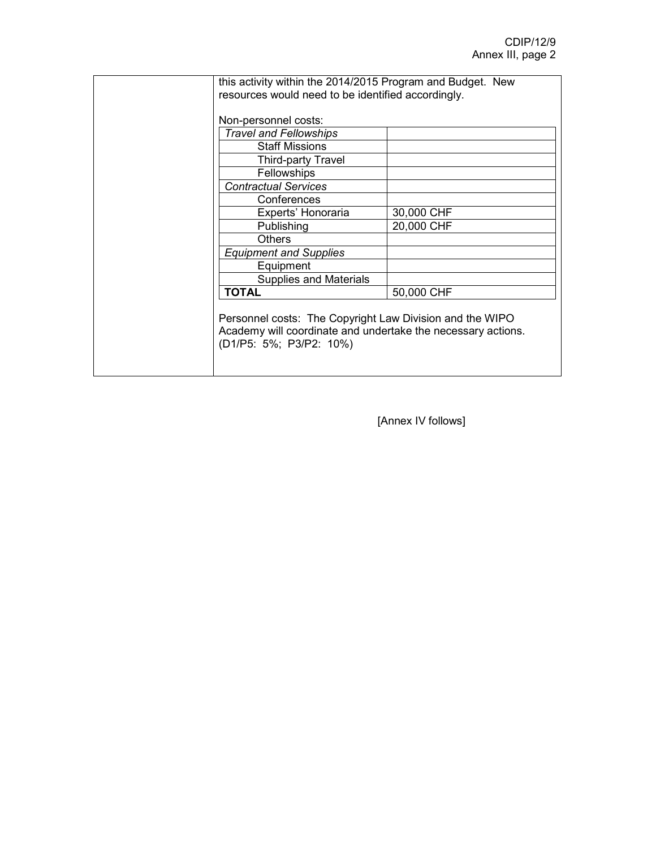| this activity within the 2014/2015 Program and Budget. New<br>resources would need to be identified accordingly.                                    |            |  |
|-----------------------------------------------------------------------------------------------------------------------------------------------------|------------|--|
| Non-personnel costs:                                                                                                                                |            |  |
| <b>Travel and Fellowships</b>                                                                                                                       |            |  |
| <b>Staff Missions</b>                                                                                                                               |            |  |
| Third-party Travel                                                                                                                                  |            |  |
| <b>Fellowships</b>                                                                                                                                  |            |  |
| <b>Contractual Services</b>                                                                                                                         |            |  |
| Conferences                                                                                                                                         |            |  |
| Experts' Honoraria                                                                                                                                  | 30,000 CHF |  |
| Publishing                                                                                                                                          | 20,000 CHF |  |
| <b>Others</b>                                                                                                                                       |            |  |
| <b>Equipment and Supplies</b>                                                                                                                       |            |  |
| Equipment                                                                                                                                           |            |  |
| Supplies and Materials                                                                                                                              |            |  |
| <b>TOTAL</b>                                                                                                                                        | 50,000 CHF |  |
| Personnel costs: The Copyright Law Division and the WIPO<br>Academy will coordinate and undertake the necessary actions.<br>(D1/P5: 5%; P3/P2: 10%) |            |  |

[Annex IV follows]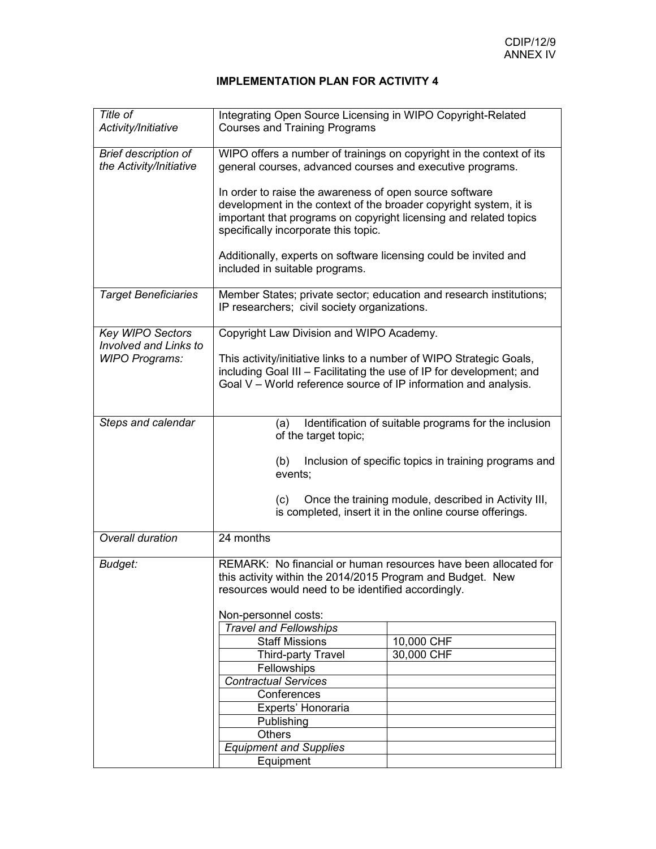| Title of<br>Activity/Initiative                                           | Integrating Open Source Licensing in WIPO Copyright-Related<br><b>Courses and Training Programs</b>                                                                                                                                                                                       |            |  |
|---------------------------------------------------------------------------|-------------------------------------------------------------------------------------------------------------------------------------------------------------------------------------------------------------------------------------------------------------------------------------------|------------|--|
| Brief description of<br>the Activity/Initiative                           | WIPO offers a number of trainings on copyright in the context of its<br>general courses, advanced courses and executive programs.                                                                                                                                                         |            |  |
|                                                                           | In order to raise the awareness of open source software<br>development in the context of the broader copyright system, it is<br>important that programs on copyright licensing and related topics<br>specifically incorporate this topic.                                                 |            |  |
|                                                                           | Additionally, experts on software licensing could be invited and<br>included in suitable programs.                                                                                                                                                                                        |            |  |
| <b>Target Beneficiaries</b>                                               | Member States; private sector; education and research institutions;<br>IP researchers; civil society organizations.                                                                                                                                                                       |            |  |
| Key WIPO Sectors<br><b>Involved and Links to</b><br><b>WIPO Programs:</b> | Copyright Law Division and WIPO Academy.<br>This activity/initiative links to a number of WIPO Strategic Goals,<br>including Goal III - Facilitating the use of IP for development; and<br>Goal V – World reference source of IP information and analysis.                                |            |  |
| Steps and calendar                                                        | Identification of suitable programs for the inclusion<br>(a)<br>of the target topic;<br>Inclusion of specific topics in training programs and<br>(b)<br>events;<br>Once the training module, described in Activity III,<br>(C)<br>is completed, insert it in the online course offerings. |            |  |
| Overall duration                                                          | 24 months                                                                                                                                                                                                                                                                                 |            |  |
| Budget:                                                                   | REMARK: No financial or human resources have been allocated for<br>this activity within the 2014/2015 Program and Budget. New<br>resources would need to be identified accordingly.                                                                                                       |            |  |
|                                                                           | Non-personnel costs:                                                                                                                                                                                                                                                                      |            |  |
|                                                                           | <b>Travel and Fellowships</b>                                                                                                                                                                                                                                                             |            |  |
|                                                                           | <b>Staff Missions</b>                                                                                                                                                                                                                                                                     | 10,000 CHF |  |
|                                                                           | Third-party Travel                                                                                                                                                                                                                                                                        | 30,000 CHF |  |
|                                                                           | Fellowships                                                                                                                                                                                                                                                                               |            |  |
|                                                                           | <b>Contractual Services</b>                                                                                                                                                                                                                                                               |            |  |
|                                                                           | Conferences                                                                                                                                                                                                                                                                               |            |  |
|                                                                           | Experts' Honoraria                                                                                                                                                                                                                                                                        |            |  |
|                                                                           | Publishing                                                                                                                                                                                                                                                                                |            |  |
|                                                                           | <b>Others</b>                                                                                                                                                                                                                                                                             |            |  |
|                                                                           | <b>Equipment and Supplies</b>                                                                                                                                                                                                                                                             |            |  |
|                                                                           | Equipment                                                                                                                                                                                                                                                                                 |            |  |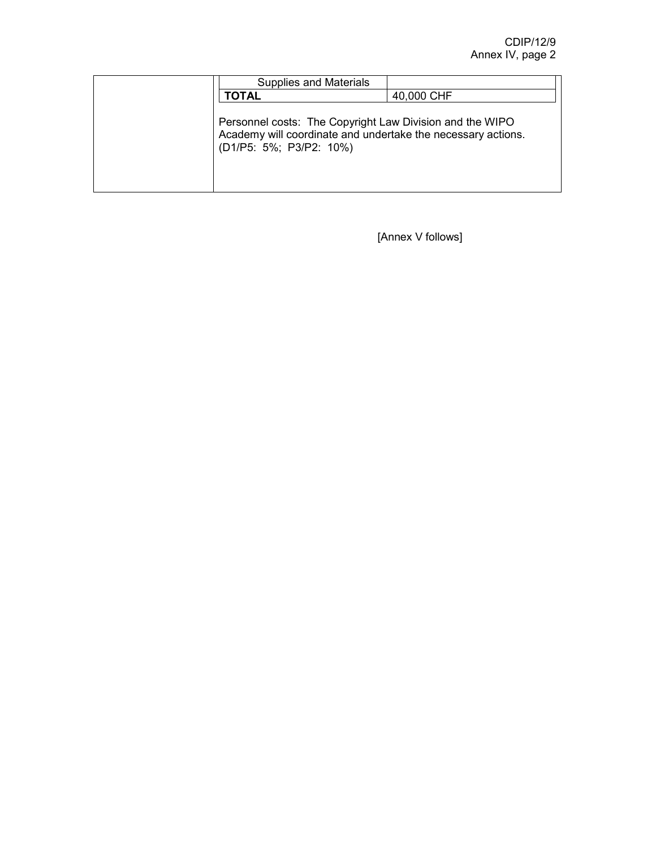| <b>Supplies and Materials</b>                                                                                                                       |            |
|-----------------------------------------------------------------------------------------------------------------------------------------------------|------------|
| <b>TOTAL</b>                                                                                                                                        | 40,000 CHF |
| Personnel costs: The Copyright Law Division and the WIPO<br>Academy will coordinate and undertake the necessary actions.<br>(D1/P5: 5%; P3/P2: 10%) |            |

[Annex V follows]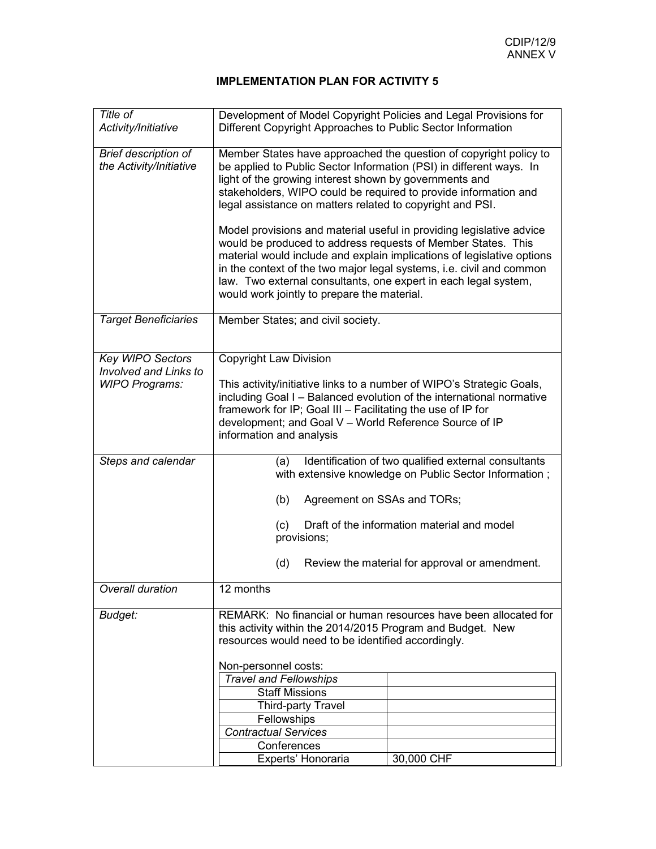| Title of<br>Activity/Initiative                                           | Development of Model Copyright Policies and Legal Provisions for<br>Different Copyright Approaches to Public Sector Information                                                                                                                                                                                                                                                                            |  |  |
|---------------------------------------------------------------------------|------------------------------------------------------------------------------------------------------------------------------------------------------------------------------------------------------------------------------------------------------------------------------------------------------------------------------------------------------------------------------------------------------------|--|--|
| <b>Brief description of</b><br>the Activity/Initiative                    | Member States have approached the question of copyright policy to<br>be applied to Public Sector Information (PSI) in different ways. In<br>light of the growing interest shown by governments and<br>stakeholders, WIPO could be required to provide information and<br>legal assistance on matters related to copyright and PSI.<br>Model provisions and material useful in providing legislative advice |  |  |
|                                                                           | would be produced to address requests of Member States. This<br>material would include and explain implications of legislative options<br>in the context of the two major legal systems, i.e. civil and common<br>law. Two external consultants, one expert in each legal system,<br>would work jointly to prepare the material.                                                                           |  |  |
| <b>Target Beneficiaries</b>                                               | Member States; and civil society.                                                                                                                                                                                                                                                                                                                                                                          |  |  |
| Key WIPO Sectors<br><b>Involved and Links to</b><br><b>WIPO Programs:</b> | <b>Copyright Law Division</b><br>This activity/initiative links to a number of WIPO's Strategic Goals,<br>including Goal I - Balanced evolution of the international normative<br>framework for IP; Goal III - Facilitating the use of IP for<br>development; and Goal V - World Reference Source of IP<br>information and analysis                                                                        |  |  |
| Steps and calendar                                                        | Identification of two qualified external consultants<br>(a)<br>with extensive knowledge on Public Sector Information;                                                                                                                                                                                                                                                                                      |  |  |
|                                                                           | (b)<br>Agreement on SSAs and TORs;                                                                                                                                                                                                                                                                                                                                                                         |  |  |
|                                                                           | Draft of the information material and model<br>(c)<br>provisions;                                                                                                                                                                                                                                                                                                                                          |  |  |
|                                                                           | Review the material for approval or amendment.<br>(d)                                                                                                                                                                                                                                                                                                                                                      |  |  |
| Overall duration                                                          | 12 months                                                                                                                                                                                                                                                                                                                                                                                                  |  |  |
| Budget:                                                                   | REMARK: No financial or human resources have been allocated for<br>this activity within the 2014/2015 Program and Budget. New<br>resources would need to be identified accordingly.                                                                                                                                                                                                                        |  |  |
|                                                                           | Non-personnel costs:<br><b>Travel and Fellowships</b>                                                                                                                                                                                                                                                                                                                                                      |  |  |
|                                                                           | <b>Staff Missions</b>                                                                                                                                                                                                                                                                                                                                                                                      |  |  |
|                                                                           | Third-party Travel                                                                                                                                                                                                                                                                                                                                                                                         |  |  |
|                                                                           | Fellowships<br><b>Contractual Services</b>                                                                                                                                                                                                                                                                                                                                                                 |  |  |
|                                                                           | Conferences                                                                                                                                                                                                                                                                                                                                                                                                |  |  |
|                                                                           | 30,000 CHF<br>Experts' Honoraria                                                                                                                                                                                                                                                                                                                                                                           |  |  |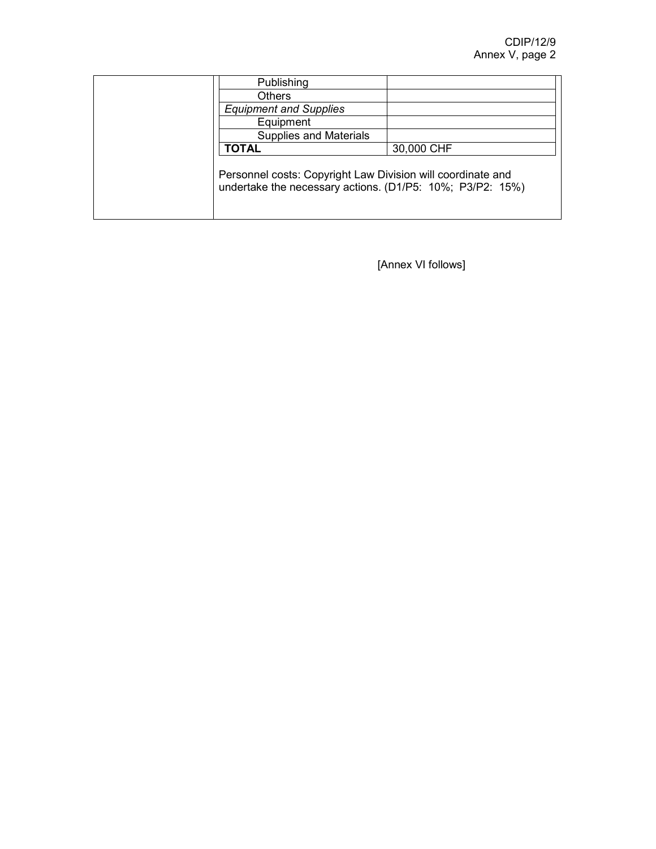| Publishing                                                                                                               |            |
|--------------------------------------------------------------------------------------------------------------------------|------------|
| <b>Others</b>                                                                                                            |            |
| <b>Equipment and Supplies</b>                                                                                            |            |
| Equipment                                                                                                                |            |
| <b>Supplies and Materials</b>                                                                                            |            |
| <b>TOTAL</b>                                                                                                             | 30,000 CHF |
| Personnel costs: Copyright Law Division will coordinate and<br>undertake the necessary actions. (D1/P5: 10%; P3/P2: 15%) |            |

[Annex VI follows]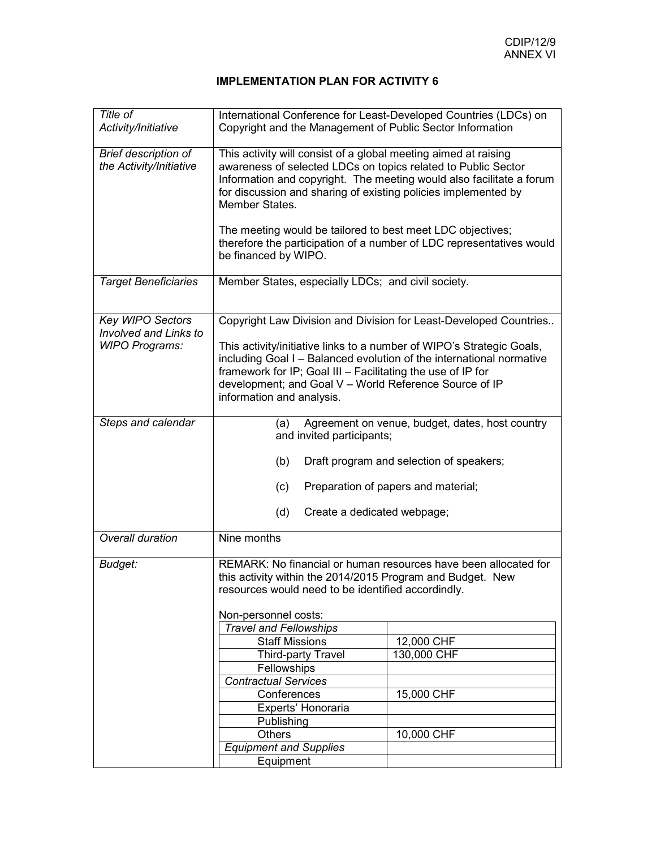| Title of<br>Activity/Initiative                                                  | International Conference for Least-Developed Countries (LDCs) on<br>Copyright and the Management of Public Sector Information                                                                                                                                                                                                                                            |                           |  |
|----------------------------------------------------------------------------------|--------------------------------------------------------------------------------------------------------------------------------------------------------------------------------------------------------------------------------------------------------------------------------------------------------------------------------------------------------------------------|---------------------------|--|
| Brief description of<br>the Activity/Initiative                                  | This activity will consist of a global meeting aimed at raising<br>awareness of selected LDCs on topics related to Public Sector<br>Information and copyright. The meeting would also facilitate a forum<br>for discussion and sharing of existing policies implemented by<br>Member States.                                                                             |                           |  |
|                                                                                  | The meeting would be tailored to best meet LDC objectives;<br>therefore the participation of a number of LDC representatives would<br>be financed by WIPO.                                                                                                                                                                                                               |                           |  |
| <b>Target Beneficiaries</b>                                                      | Member States, especially LDCs; and civil society.                                                                                                                                                                                                                                                                                                                       |                           |  |
| <b>Key WIPO Sectors</b><br><b>Involved and Links to</b><br><b>WIPO Programs:</b> | Copyright Law Division and Division for Least-Developed Countries<br>This activity/initiative links to a number of WIPO's Strategic Goals,<br>including Goal I - Balanced evolution of the international normative<br>framework for IP; Goal III - Facilitating the use of IP for<br>development; and Goal V - World Reference Source of IP<br>information and analysis. |                           |  |
| Steps and calendar                                                               | Agreement on venue, budget, dates, host country<br>(a)<br>and invited participants;<br>(b)<br>Draft program and selection of speakers;<br>Preparation of papers and material;<br>(c)<br>(d)<br>Create a dedicated webpage;                                                                                                                                               |                           |  |
| Overall duration                                                                 | Nine months                                                                                                                                                                                                                                                                                                                                                              |                           |  |
| Budget:                                                                          | REMARK: No financial or human resources have been allocated for<br>this activity within the 2014/2015 Program and Budget. New<br>resources would need to be identified accordindly.                                                                                                                                                                                      |                           |  |
|                                                                                  | Non-personnel costs:                                                                                                                                                                                                                                                                                                                                                     |                           |  |
|                                                                                  | <b>Travel and Fellowships</b>                                                                                                                                                                                                                                                                                                                                            |                           |  |
|                                                                                  | <b>Staff Missions</b>                                                                                                                                                                                                                                                                                                                                                    | 12,000 CHF<br>130,000 CHF |  |
|                                                                                  | Third-party Travel<br>Fellowships                                                                                                                                                                                                                                                                                                                                        |                           |  |
|                                                                                  | <b>Contractual Services</b>                                                                                                                                                                                                                                                                                                                                              |                           |  |
|                                                                                  | Conferences                                                                                                                                                                                                                                                                                                                                                              | 15,000 CHF                |  |
|                                                                                  | Experts' Honoraria                                                                                                                                                                                                                                                                                                                                                       |                           |  |
|                                                                                  | Publishing                                                                                                                                                                                                                                                                                                                                                               |                           |  |
|                                                                                  | <b>Others</b>                                                                                                                                                                                                                                                                                                                                                            | 10,000 CHF                |  |
|                                                                                  | <b>Equipment and Supplies</b>                                                                                                                                                                                                                                                                                                                                            |                           |  |
|                                                                                  | Equipment                                                                                                                                                                                                                                                                                                                                                                |                           |  |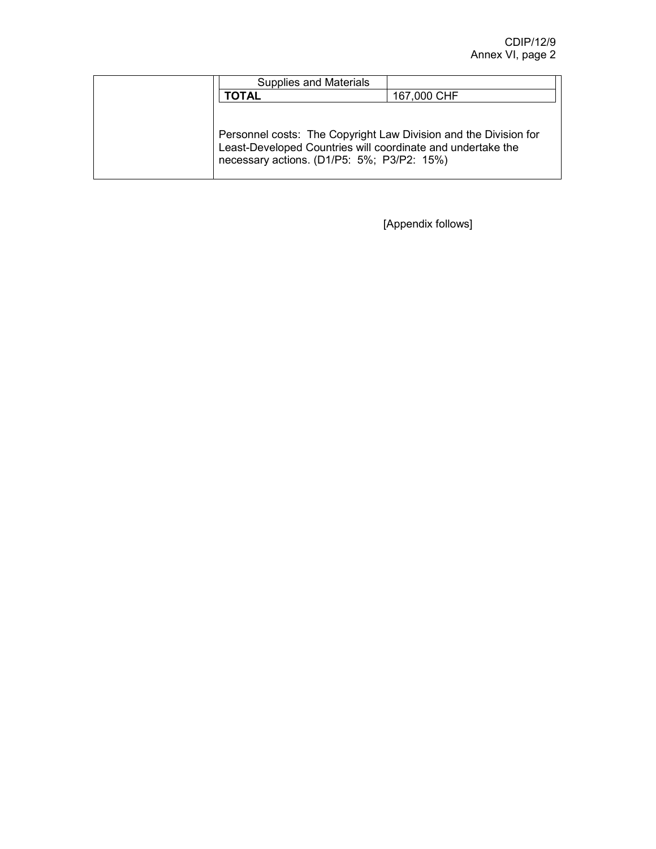| <b>Supplies and Materials</b>                                                                                                                                                 |             |
|-------------------------------------------------------------------------------------------------------------------------------------------------------------------------------|-------------|
| ΓΟΤΑΙ                                                                                                                                                                         | 167,000 CHF |
| Personnel costs: The Copyright Law Division and the Division for<br>Least-Developed Countries will coordinate and undertake the<br>necessary actions. (D1/P5: 5%; P3/P2: 15%) |             |

[Appendix follows]